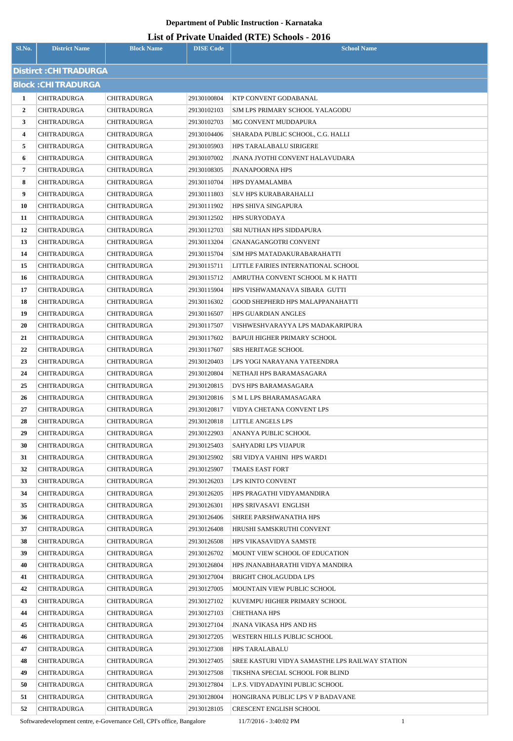# **List of Private Unaided (RTE) Schools - 2016**

| Sl.No.         | <b>District Name</b>                     | <b>Block Name</b>          | <b>DISE</b> Code           | <b>School Name</b>                              |
|----------------|------------------------------------------|----------------------------|----------------------------|-------------------------------------------------|
|                | Distirct: CHITRADURGA                    |                            |                            |                                                 |
|                | <b>Block: CHITRADURGA</b>                |                            |                            |                                                 |
| 1              | CHITRADURGA                              | <b>CHITRADURGA</b>         | 29130100804                | KTP CONVENT GODABANAL                           |
| $\overline{2}$ | <b>CHITRADURGA</b>                       | CHITRADURGA                | 29130102103                | SJM LPS PRIMARY SCHOOL YALAGODU                 |
| 3              | CHITRADURGA                              | <b>CHITRADURGA</b>         | 29130102703                | MG CONVENT MUDDAPURA                            |
| 4              | <b>CHITRADURGA</b>                       | CHITRADURGA                | 29130104406                | SHARADA PUBLIC SCHOOL, C.G. HALLI               |
| 5              | CHITRADURGA                              | CHITRADURGA                | 29130105903                | <b>HPS TARALABALU SIRIGERE</b>                  |
| 6              | <b>CHITRADURGA</b>                       | CHITRADURGA                | 29130107002                | JNANA JYOTHI CONVENT HALAVUDARA                 |
| 7              | CHITRADURGA                              | CHITRADURGA                | 29130108305                | <b>JNANAPOORNA HPS</b>                          |
| 8              | CHITRADURGA                              | CHITRADURGA                | 29130110704                | HPS DYAMALAMBA                                  |
| 9              | <b>CHITRADURGA</b>                       | CHITRADURGA                | 29130111803                | SLV HPS KURABARAHALLI                           |
| 10             | CHITRADURGA                              | CHITRADURGA                | 29130111902                | <b>HPS SHIVA SINGAPURA</b>                      |
| 11             | CHITRADURGA                              | CHITRADURGA                | 29130112502                | HPS SURYODAYA                                   |
| 12             | CHITRADURGA                              | CHITRADURGA                | 29130112703                | SRI NUTHAN HPS SIDDAPURA                        |
| 13             | CHITRADURGA                              | <b>CHITRADURGA</b>         | 29130113204                | <b>GNANAGANGOTRI CONVENT</b>                    |
| 14             | <b>CHITRADURGA</b>                       | CHITRADURGA                | 29130115704                | SJM HPS MATADAKURABARAHATTI                     |
| 15             | CHITRADURGA                              | <b>CHITRADURGA</b>         | 29130115711                | LITTLE FAIRIES INTERNATIONAL SCHOOL             |
| 16             | <b>CHITRADURGA</b>                       | CHITRADURGA                | 29130115712                | AMRUTHA CONVENT SCHOOL M K HATTI                |
| 17             | CHITRADURGA                              | CHITRADURGA                | 29130115904                | HPS VISHWAMANAVA SIBARA GUTTI                   |
| 18             | <b>CHITRADURGA</b>                       | CHITRADURGA                | 29130116302                | GOOD SHEPHERD HPS MALAPPANAHATTI                |
| 19             | <b>CHITRADURGA</b>                       | CHITRADURGA                | 29130116507                | HPS GUARDIAN ANGLES                             |
| 20             | CHITRADURGA                              | CHITRADURGA                | 29130117507                | VISHWESHVARAYYA LPS MADAKARIPURA                |
| 21             | CHITRADURGA                              | <b>CHITRADURGA</b>         | 29130117602                | BAPUJI HIGHER PRIMARY SCHOOL                    |
| 22             | CHITRADURGA                              | <b>CHITRADURGA</b>         | 29130117607                | <b>SRS HERITAGE SCHOOL</b>                      |
| 23             | CHITRADURGA                              | <b>CHITRADURGA</b>         | 29130120403                | LPS YOGI NARAYANA YATEENDRA                     |
| 24             | <b>CHITRADURGA</b>                       | CHITRADURGA                | 29130120804                | NETHAJI HPS BARAMASAGARA                        |
| 25             | CHITRADURGA                              | CHITRADURGA                | 29130120815                | DVS HPS BARAMASAGARA                            |
| 26             | <b>CHITRADURGA</b>                       | <b>CHITRADURGA</b>         | 29130120816                | S M L LPS BHARAMASAGARA                         |
| 27             | <b>CHITRADURGA</b>                       | CHITRADURGA                | 29130120817                | VIDYA CHETANA CONVENT LPS                       |
| 28             | <b>CHITRADURGA</b>                       | CHITRADURGA                | 29130120818                | LITTLE ANGELS LPS                               |
| 29             | <b>CHITRADURGA</b>                       | <b>CHITRADURGA</b>         | 29130122903                | ANANYA PUBLIC SCHOOL                            |
| 30             | <b>CHITRADURGA</b>                       | <b>CHITRADURGA</b>         | 29130125403                | SAHYADRI LPS VIJAPUR                            |
| 31<br>32       | <b>CHITRADURGA</b><br><b>CHITRADURGA</b> | CHITRADURGA<br>CHITRADURGA | 29130125902<br>29130125907 | SRI VIDYA VAHINI HPS WARD1<br>TMAES EAST FORT   |
| 33             | <b>CHITRADURGA</b>                       | CHITRADURGA                | 29130126203                | LPS KINTO CONVENT                               |
| 34             | <b>CHITRADURGA</b>                       | <b>CHITRADURGA</b>         | 29130126205                | HPS PRAGATHI VIDYAMANDIRA                       |
| 35             | <b>CHITRADURGA</b>                       | CHITRADURGA                | 29130126301                | HPS SRIVASAVI ENGLISH                           |
| 36             | <b>CHITRADURGA</b>                       | CHITRADURGA                | 29130126406                | SHREE PARSHWANATHA HPS                          |
| 37             | <b>CHITRADURGA</b>                       | CHITRADURGA                | 29130126408                | HRUSHI SAMSKRUTHI CONVENT                       |
| 38             | <b>CHITRADURGA</b>                       | <b>CHITRADURGA</b>         | 29130126508                | HPS VIKASAVIDYA SAMSTE                          |
| 39             | <b>CHITRADURGA</b>                       | CHITRADURGA                | 29130126702                | MOUNT VIEW SCHOOL OF EDUCATION                  |
| 40             | <b>CHITRADURGA</b>                       | <b>CHITRADURGA</b>         | 29130126804                | HPS JNANABHARATHI VIDYA MANDIRA                 |
| 41             | CHITRADURGA                              | <b>CHITRADURGA</b>         | 29130127004                | BRIGHT CHOLAGUDDA LPS                           |
| 42             | <b>CHITRADURGA</b>                       | <b>CHITRADURGA</b>         | 29130127005                | MOUNTAIN VIEW PUBLIC SCHOOL                     |
| 43             | <b>CHITRADURGA</b>                       | CHITRADURGA                | 29130127102                | KUVEMPU HIGHER PRIMARY SCHOOL                   |
| 44             | <b>CHITRADURGA</b>                       | <b>CHITRADURGA</b>         | 29130127103                | CHETHANA HPS                                    |
| 45             | <b>CHITRADURGA</b>                       | CHITRADURGA                | 29130127104                | JNANA VIKASA HPS AND HS                         |
| 46             | <b>CHITRADURGA</b>                       | <b>CHITRADURGA</b>         | 29130127205                | WESTERN HILLS PUBLIC SCHOOL                     |
| 47             | <b>CHITRADURGA</b>                       | CHITRADURGA                | 29130127308                | <b>HPS TARALABALU</b>                           |
| 48             | <b>CHITRADURGA</b>                       | CHITRADURGA                | 29130127405                | SREE KASTURI VIDYA SAMASTHE LPS RAILWAY STATION |
| 49             | <b>CHITRADURGA</b>                       | <b>CHITRADURGA</b>         | 29130127508                | TIKSHNA SPECIAL SCHOOL FOR BLIND                |
| 50             | <b>CHITRADURGA</b>                       | CHITRADURGA                | 29130127804                | L.P.S. VIDYADAYINI PUBLIC SCHOOL                |
| 51             | <b>CHITRADURGA</b>                       | <b>CHITRADURGA</b>         | 29130128004                | HONGIRANA PUBLIC LPS V P BADAVANE               |
| 52             | <b>CHITRADURGA</b>                       | <b>CHITRADURGA</b>         | 29130128105                | <b>CRESCENT ENGLISH SCHOOL</b>                  |

Softwaredevelopment centre, e-Governance Cell, CPI's office, Bangalore 11/7/2016 - 3:40:02 PM 1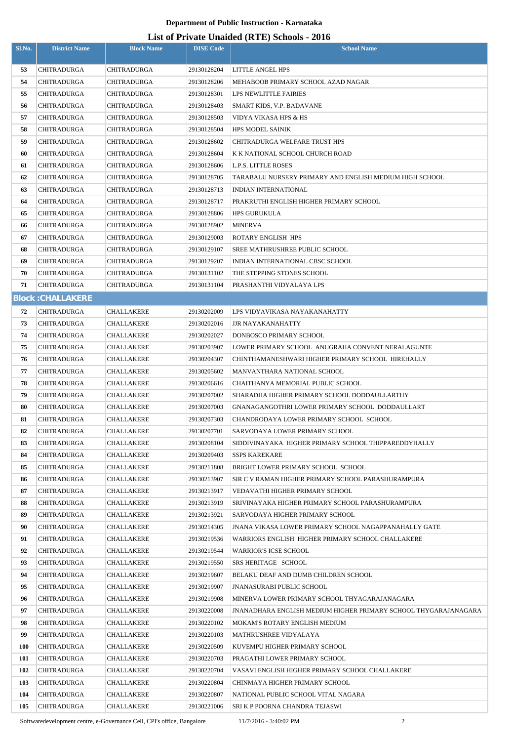# **List of Private Unaided (RTE) Schools - 2016**

| Sl.No.     | <b>District Name</b>     | <b>Block Name</b> | <b>DISE Code</b> | $\mu$ <sub>15</sub> of T <sub>11</sub> , and Omaracu (IVIII) behoofs $\mu$ <sub>010</sub><br><b>School Name</b> |
|------------|--------------------------|-------------------|------------------|-----------------------------------------------------------------------------------------------------------------|
| 53         | <b>CHITRADURGA</b>       | CHITRADURGA       | 29130128204      | LITTLE ANGEL HPS                                                                                                |
| 54         | <b>CHITRADURGA</b>       | CHITRADURGA       | 29130128206      | MEHABOOB PRIMARY SCHOOL AZAD NAGAR                                                                              |
| 55         | <b>CHITRADURGA</b>       | CHITRADURGA       | 29130128301      | LPS NEWLITTLE FAIRIES                                                                                           |
| 56         | <b>CHITRADURGA</b>       | CHITRADURGA       | 29130128403      | SMART KIDS, V.P. BADAVANE                                                                                       |
| 57         | <b>CHITRADURGA</b>       | CHITRADURGA       | 29130128503      | VIDYA VIKASA HPS & HS                                                                                           |
| 58         | <b>CHITRADURGA</b>       | CHITRADURGA       | 29130128504      | <b>HPS MODEL SAINIK</b>                                                                                         |
| 59         | <b>CHITRADURGA</b>       | CHITRADURGA       | 29130128602      | <b>CHITRADURGA WELFARE TRUST HPS</b>                                                                            |
| 60         | <b>CHITRADURGA</b>       | CHITRADURGA       | 29130128604      | K K NATIONAL SCHOOL CHURCH ROAD                                                                                 |
| 61         | CHITRADURGA              | CHITRADURGA       | 29130128606      | <b>L.P.S. LITTLE ROSES</b>                                                                                      |
| 62         | <b>CHITRADURGA</b>       | CHITRADURGA       | 29130128705      | TARABALU NURSERY PRIMARY AND ENGLISH MEDIUM HIGH SCHOOL                                                         |
| 63         | <b>CHITRADURGA</b>       | CHITRADURGA       | 29130128713      | INDIAN INTERNATIONAL                                                                                            |
| 64         | <b>CHITRADURGA</b>       | CHITRADURGA       | 29130128717      | PRAKRUTHI ENGLISH HIGHER PRIMARY SCHOOL                                                                         |
| 65         | <b>CHITRADURGA</b>       | CHITRADURGA       | 29130128806      | <b>HPS GURUKULA</b>                                                                                             |
| 66         | <b>CHITRADURGA</b>       | CHITRADURGA       | 29130128902      | <b>MINERVA</b>                                                                                                  |
| 67         | <b>CHITRADURGA</b>       | CHITRADURGA       | 29130129003      | ROTARY ENGLISH HPS                                                                                              |
| 68         | <b>CHITRADURGA</b>       | CHITRADURGA       | 29130129107      | SREE MATHRUSHREE PUBLIC SCHOOL                                                                                  |
| 69         | <b>CHITRADURGA</b>       | CHITRADURGA       | 29130129207      | INDIAN INTERNATIONAL CBSC SCHOOL                                                                                |
| 70         | <b>CHITRADURGA</b>       | CHITRADURGA       | 29130131102      | THE STEPPING STONES SCHOOL                                                                                      |
| 71         | <b>CHITRADURGA</b>       | CHITRADURGA       | 29130131104      | PRASHANTHI VIDYALAYA LPS                                                                                        |
|            | <b>Block: CHALLAKERE</b> |                   |                  |                                                                                                                 |
| 72         | <b>CHITRADURGA</b>       | CHALLAKERE        | 29130202009      | LPS VIDYAVIKASA NAYAKANAHATTY                                                                                   |
| 73         | <b>CHITRADURGA</b>       | <b>CHALLAKERE</b> | 29130202016      | <b>JJR NAYAKANAHATTY</b>                                                                                        |
| 74         | <b>CHITRADURGA</b>       | CHALLAKERE        | 29130202027      | DONBOSCO PRIMARY SCHOOL                                                                                         |
| 75         | <b>CHITRADURGA</b>       | CHALLAKERE        | 29130203907      | LOWER PRIMARY SCHOOL ANUGRAHA CONVENT NERALAGUNTE                                                               |
| 76         | <b>CHITRADURGA</b>       | CHALLAKERE        | 29130204307      | CHINTHAMANESHWARI HIGHER PRIMARY SCHOOL HIREHALLY                                                               |
| 77         | <b>CHITRADURGA</b>       | CHALLAKERE        | 29130205602      | MANVANTHARA NATIONAL SCHOOL                                                                                     |
| 78         | <b>CHITRADURGA</b>       | <b>CHALLAKERE</b> | 29130206616      | CHAITHANYA MEMORIAL PUBLIC SCHOOL                                                                               |
| 79         | <b>CHITRADURGA</b>       | CHALLAKERE        | 29130207002      | SHARADHA HIGHER PRIMARY SCHOOL DODDAULLARTHY                                                                    |
| 80         | <b>CHITRADURGA</b>       | CHALLAKERE        | 29130207003      | GNANAGANGOTHRI LOWER PRIMARY SCHOOL DODDAULLART                                                                 |
| 81         | <b>CHITRADURGA</b>       | CHALLAKERE        | 29130207303      | CHANDRODAYA LOWER PRIMARY SCHOOL SCHOOL                                                                         |
| 82         | <b>CHITRADURGA</b>       | CHALLAKERE        | 29130207701      | SARVODAYA LOWER PRIMARY SCHOOL                                                                                  |
| 83         | <b>CHITRADURGA</b>       | CHALLAKERE        | 29130208104      | SIDDIVINAYAKA HIGHER PRIMARY SCHOOL THIPPAREDDYHALLY                                                            |
| 84         | <b>CHITRADURGA</b>       | CHALLAKERE        | 29130209403      | <b>SSPS KAREKARE</b>                                                                                            |
| 85         | <b>CHITRADURGA</b>       | CHALLAKERE        | 29130211808      | BRIGHT LOWER PRIMARY SCHOOL SCHOOL                                                                              |
| 86         | <b>CHITRADURGA</b>       | CHALLAKERE        | 29130213907      | SIR C V RAMAN HIGHER PRIMARY SCHOOL PARASHURAMPURA                                                              |
| 87         | <b>CHITRADURGA</b>       | CHALLAKERE        | 29130213917      | VEDAVATHI HIGHER PRIMARY SCHOOL                                                                                 |
| 88         | <b>CHITRADURGA</b>       | CHALLAKERE        | 29130213919      | SRIVINAYAKA HIGHER PRIMARY SCHOOL PARASHURAMPURA                                                                |
| 89         | <b>CHITRADURGA</b>       | CHALLAKERE        | 29130213921      | SARVODAYA HIGHER PRIMARY SCHOOL                                                                                 |
| 90         | <b>CHITRADURGA</b>       | CHALLAKERE        | 29130214305      | JNANA VIKASA LOWER PRIMARY SCHOOL NAGAPPANAHALLY GATE                                                           |
| 91         | <b>CHITRADURGA</b>       | CHALLAKERE        | 29130219536      | WARRIORS ENGLISH HIGHER PRIMARY SCHOOL CHALLAKERE                                                               |
| 92         | <b>CHITRADURGA</b>       | CHALLAKERE        | 29130219544      | <b>WARRIOR'S ICSE SCHOOL</b>                                                                                    |
| 93         | <b>CHITRADURGA</b>       | CHALLAKERE        | 29130219550      | SRS HERITAGE SCHOOL                                                                                             |
| 94         | <b>CHITRADURGA</b>       | CHALLAKERE        | 29130219607      | BELAKU DEAF AND DUMB CHILDREN SCHOOL                                                                            |
| 95         | <b>CHITRADURGA</b>       | CHALLAKERE        | 29130219907      | <b>JNANASURABI PUBLIC SCHOOL</b>                                                                                |
| 96         | <b>CHITRADURGA</b>       | CHALLAKERE        | 29130219908      | MINERVA LOWER PRIMARY SCHOOL THYAGARAJANAGARA                                                                   |
| 97         | <b>CHITRADURGA</b>       | CHALLAKERE        | 29130220008      | JNANADHARA ENGLISH MEDIUM HIGHER PRIMARY SCHOOL THYGARAJANAGARA                                                 |
| 98         | <b>CHITRADURGA</b>       | CHALLAKERE        | 29130220102      | MOKAM'S ROTARY ENGLISH MEDIUM                                                                                   |
| 99         | <b>CHITRADURGA</b>       | CHALLAKERE        | 29130220103      | MATHRUSHREE VIDYALAYA                                                                                           |
| <b>100</b> | <b>CHITRADURGA</b>       | CHALLAKERE        | 29130220509      | KUVEMPU HIGHER PRIMARY SCHOOL                                                                                   |
| 101        | <b>CHITRADURGA</b>       | CHALLAKERE        | 29130220703      | PRAGATHI LOWER PRIMARY SCHOOL                                                                                   |
| 102        | <b>CHITRADURGA</b>       | CHALLAKERE        | 29130220704      | VASAVI ENGLISH HIGHER PRIMARY SCHOOL CHALLAKERE                                                                 |
| 103        | <b>CHITRADURGA</b>       | CHALLAKERE        | 29130220804      | CHINMAYA HIGHER PRIMARY SCHOOL                                                                                  |
| 104        | <b>CHITRADURGA</b>       | CHALLAKERE        | 29130220807      | NATIONAL PUBLIC SCHOOL VITAL NAGARA                                                                             |
| 105        | <b>CHITRADURGA</b>       | CHALLAKERE        | 29130221006      | SRI K P POORNA CHANDRA TEJASWI                                                                                  |

Softwaredevelopment centre, e-Governance Cell, CPI's office, Bangalore 11/7/2016 - 3:40:02 PM 2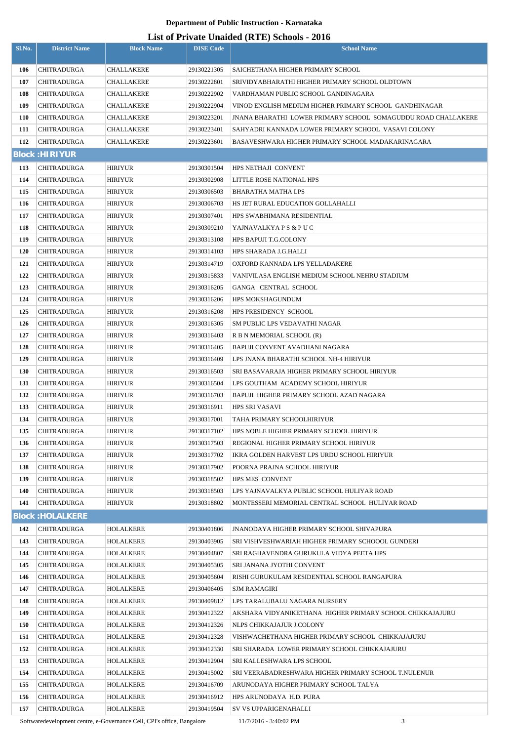# **List of Private Unaided (RTE) Schools - 2016**

| Sl.No.     | <b>District Name</b>              | <b>Block Name</b>               | <b>DISE Code</b>           | $\frac{1}{2}$<br><b>School Name</b>                                                                |
|------------|-----------------------------------|---------------------------------|----------------------------|----------------------------------------------------------------------------------------------------|
|            |                                   |                                 | 29130221305                |                                                                                                    |
| 106<br>107 | <b>CHITRADURGA</b><br>CHITRADURGA | <b>CHALLAKERE</b><br>CHALLAKERE | 29130222801                | SAICHETHANA HIGHER PRIMARY SCHOOL<br>SRIVIDYABHARATHI HIGHER PRIMARY SCHOOL OLDTOWN                |
| 108        | <b>CHITRADURGA</b>                | <b>CHALLAKERE</b>               | 29130222902                | VARDHAMAN PUBLIC SCHOOL GANDINAGARA                                                                |
| 109        | <b>CHITRADURGA</b>                | <b>CHALLAKERE</b>               | 29130222904                | VINOD ENGLISH MEDIUM HIGHER PRIMARY SCHOOL GANDHINAGAR                                             |
| 110        | <b>CHITRADURGA</b>                | CHALLAKERE                      | 29130223201                | JNANA BHARATHI  LOWER PRIMARY SCHOOL  SOMAGUDDU ROAD CHALLAKERE                                    |
| 111        | <b>CHITRADURGA</b>                | CHALLAKERE                      | 29130223401                | SAHYADRI KANNADA LOWER PRIMARY SCHOOL VASAVI COLONY                                                |
| 112        | <b>CHITRADURGA</b>                | <b>CHALLAKERE</b>               | 29130223601                | BASAVESHWARA HIGHER PRIMARY SCHOOL MADAKARINAGARA                                                  |
|            | <b>Block: HIRIYUR</b>             |                                 |                            |                                                                                                    |
| 113        | <b>CHITRADURGA</b>                | <b>HIRIYUR</b>                  | 29130301504                | HPS NETHAJI CONVENT                                                                                |
| 114        | CHITRADURGA                       | <b>HIRIYUR</b>                  | 29130302908                | LITTLE ROSE NATIONAL HPS                                                                           |
| 115        | <b>CHITRADURGA</b>                | <b>HIRIYUR</b>                  | 29130306503                | BHARATHA MATHA LPS                                                                                 |
| 116        | <b>CHITRADURGA</b>                | <b>HIRIYUR</b>                  | 29130306703                | HS JET RURAL EDUCATION GOLLAHALLI                                                                  |
| 117        | <b>CHITRADURGA</b>                | <b>HIRIYUR</b>                  | 29130307401                | HPS SWABHIMANA RESIDENTIAL                                                                         |
| 118        | <b>CHITRADURGA</b>                | <b>HIRIYUR</b>                  | 29130309210                | YAJNAVALKYA P S & P U C                                                                            |
| 119        | CHITRADURGA                       | <b>HIRIYUR</b>                  | 29130313108                | <b>HPS BAPUJI T.G.COLONY</b>                                                                       |
| 120        | <b>CHITRADURGA</b>                | <b>HIRIYUR</b>                  | 29130314103                | HPS SHARADA J.G.HALLI                                                                              |
| 121        | <b>CHITRADURGA</b>                | <b>HIRIYUR</b>                  | 29130314719                | OXFORD KANNADA LPS YELLADAKERE                                                                     |
| 122        | <b>CHITRADURGA</b>                | <b>HIRIYUR</b>                  | 29130315833                | VANIVILASA ENGLISH MEDIUM SCHOOL NEHRU STADIUM                                                     |
| 123        | <b>CHITRADURGA</b>                | <b>HIRIYUR</b>                  | 29130316205                | GANGA CENTRAL SCHOOL                                                                               |
| 124        | <b>CHITRADURGA</b>                | <b>HIRIYUR</b>                  | 29130316206                | <b>HPS MOKSHAGUNDUM</b>                                                                            |
| 125        | CHITRADURGA                       | <b>HIRIYUR</b>                  | 29130316208                | HPS PRESIDENCY SCHOOL                                                                              |
| 126        | <b>CHITRADURGA</b>                | <b>HIRIYUR</b>                  | 29130316305                | SM PUBLIC LPS VEDAVATHI NAGAR                                                                      |
| 127        | CHITRADURGA                       | <b>HIRIYUR</b>                  | 29130316403                | R B N MEMORIAL SCHOOL (R)                                                                          |
| 128        | <b>CHITRADURGA</b>                | <b>HIRIYUR</b>                  | 29130316405                | BAPUJI CONVENT AVADHANI NAGARA                                                                     |
| 129        | CHITRADURGA                       | <b>HIRIYUR</b>                  | 29130316409                | LPS JNANA BHARATHI SCHOOL NH-4 HIRIYUR                                                             |
| 130        | <b>CHITRADURGA</b>                | <b>HIRIYUR</b>                  | 29130316503                | SRI BASAVARAJA HIGHER PRIMARY SCHOOL HIRIYUR                                                       |
| 131        | <b>CHITRADURGA</b>                | <b>HIRIYUR</b>                  | 29130316504                | LPS GOUTHAM ACADEMY SCHOOL HIRIYUR                                                                 |
| 132        | <b>CHITRADURGA</b>                | <b>HIRIYUR</b>                  | 29130316703                | <b>BAPUJI HIGHER PRIMARY SCHOOL AZAD NAGARA</b>                                                    |
| 133        | CHITRADURGA                       | <b>HIRIYUR</b>                  | 29130316911                | HPS SRI VASAVI                                                                                     |
| 134        | CHITRADURGA                       | <b>HIRIYUR</b>                  | 29130317001                | TAHA PRIMARY SCHOOLHIRIYUR                                                                         |
| 135        | <b>CHITRADURGA</b>                | <b>HIRIYUR</b>                  | 29130317102                | HPS NOBLE HIGHER PRIMARY SCHOOL HIRIYUR                                                            |
| 136        | <b>CHITRADURGA</b>                | <b>HIRIYUR</b>                  | 29130317503                | REGIONAL HIGHER PRIMARY SCHOOL HIRIYUR                                                             |
| 137        | <b>CHITRADURGA</b>                | <b>HIRIYUR</b>                  | 29130317702                | IKRA GOLDEN HARVEST LPS URDU SCHOOL HIRIYUR                                                        |
| 138        | <b>CHITRADURGA</b>                | <b>HIRIYUR</b>                  | 29130317902                | POORNA PRAJNA SCHOOL HIRIYUR                                                                       |
| 139        | <b>CHITRADURGA</b>                | <b>HIRIYUR</b>                  | 29130318502                | <b>HPS MES CONVENT</b>                                                                             |
| 140        | CHITRADURGA                       | <b>HIRIYUR</b>                  | 29130318503                | LPS YAJNAVALKYA PUBLIC SCHOOL HULIYAR ROAD                                                         |
| 141        | <b>CHITRADURGA</b>                | <b>HIRIYUR</b>                  | 29130318802                | MONTESSERI MEMORIAL CENTRAL SCHOOL HULIYAR ROAD                                                    |
|            | <b>Block: HOLALKERE</b>           |                                 |                            |                                                                                                    |
| 142        | <b>CHITRADURGA</b>                | HOLALKERE                       | 29130401806                | <b>JNANODAYA HIGHER PRIMARY SCHOOL SHIVAPURA</b>                                                   |
| 143        | <b>CHITRADURGA</b>                | HOLALKERE                       | 29130403905                | SRI VISHVESHWARIAH HIGHER PRIMARY SCHOOOL GUNDERI                                                  |
| 144        | <b>CHITRADURGA</b>                | HOLALKERE                       | 29130404807                | SRI RAGHAVENDRA GURUKULA VIDYA PEETA HPS                                                           |
| 145        | <b>CHITRADURGA</b>                | HOLALKERE                       | 29130405305                | SRI JANANA JYOTHI CONVENT                                                                          |
| 146        | <b>CHITRADURGA</b>                | HOLALKERE                       | 29130405604                | RISHI GURUKULAM RESIDENTIAL SCHOOL RANGAPURA                                                       |
| 147        | <b>CHITRADURGA</b>                | HOLALKERE                       | 29130406405                | <b>SJM RAMAGIRI</b>                                                                                |
| 148        | CHITRADURGA                       | HOLALKERE                       | 29130409812                | LPS TARALUBALU NAGARA NURSERY                                                                      |
| 149        | CHITRADURGA                       | HOLALKERE                       | 29130412322                | AKSHARA VIDYANIKETHANA HIGHER PRIMARY SCHOOL CHIKKAJAJURU                                          |
| 150        | <b>CHITRADURGA</b>                | HOLALKERE                       | 29130412326                | NLPS CHIKKAJAJUR J.COLONY                                                                          |
| 151<br>152 | <b>CHITRADURGA</b><br>CHITRADURGA | HOLALKERE<br>HOLALKERE          | 29130412328<br>29130412330 | VISHWACHETHANA HIGHER PRIMARY SCHOOL CHIKKAJAJURU<br>SRI SHARADA LOWER PRIMARY SCHOOL CHIKKAJAJURU |
| 153        | <b>CHITRADURGA</b>                | HOLALKERE                       | 29130412904                | SRI KALLESHWARA LPS SCHOOL                                                                         |
| 154        | CHITRADURGA                       | HOLALKERE                       | 29130415002                | SRI VEERABADRESHWARA HIGHER PRIMARY SCHOOL T.NULENUR                                               |
| 155        | <b>CHITRADURGA</b>                | <b>HOLALKERE</b>                | 29130416709                | ARUNODAYA HIGHER PRIMARY SCHOOL TALYA                                                              |
| 156        | <b>CHITRADURGA</b>                | HOLALKERE                       | 29130416912                | HPS ARUNODAYA H.D. PURA                                                                            |
| 157        | <b>CHITRADURGA</b>                | HOLALKERE                       | 29130419504                | SV VS UPPARIGENAHALLI                                                                              |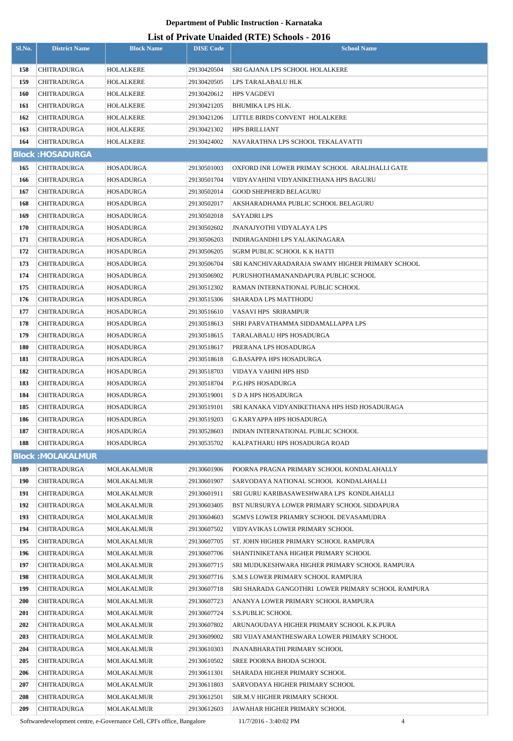# **List of Private Unaided (RTE) Schools - 2016**

| Sl.No.     | <b>District Name</b>                     | <b>Block Name</b> | <b>DISE</b> Code           | List of Frivan: Unanity (IVEL) Schools - 2010<br><b>School Name</b> |
|------------|------------------------------------------|-------------------|----------------------------|---------------------------------------------------------------------|
|            |                                          |                   |                            |                                                                     |
| 158        | <b>CHITRADURGA</b>                       | HOLALKERE         | 29130420504                | SRI GAJANA LPS SCHOOL HOLALKERE                                     |
| 159        | <b>CHITRADURGA</b>                       | HOLALKERE         | 29130420505                | LPS TARALABALU HLK                                                  |
| <b>160</b> | <b>CHITRADURGA</b>                       | HOLALKERE         | 29130420612                | <b>HPS VAGDEVI</b>                                                  |
| 161        | <b>CHITRADURGA</b>                       | HOLALKERE         | 29130421205                | BHUMIKA LPS HLK.                                                    |
| 162        | <b>CHITRADURGA</b>                       | HOLALKERE         | 29130421206                | LITTLE BIRDS CONVENT HOLALKERE                                      |
| 163        | <b>CHITRADURGA</b>                       | HOLALKERE         | 29130421302                | <b>HPS BRILLIANT</b>                                                |
| 164        | <b>CHITRADURGA</b>                       | HOLALKERE         | 29130424002                | NAVARATHNA LPS SCHOOL TEKALAVATTI                                   |
|            | <b>Block: HOSADURGA</b>                  |                   |                            |                                                                     |
| 165        | <b>CHITRADURGA</b>                       | HOSADURGA         | 29130501003                | OXFORD INR LOWER PRIMAY SCHOOL ARALIHALLI GATE                      |
| 166        | <b>CHITRADURGA</b>                       | HOSADURGA         | 29130501704                | VIDYAVAHINI VIDYANIKETHANA HPS BAGURU                               |
| 167        | <b>CHITRADURGA</b>                       |                   | 29130502014                | <b>GOOD SHEPHERD BELAGURU</b>                                       |
| 168        |                                          | HOSADURGA         |                            | AKSHARADHAMA PUBLIC SCHOOL BELAGURU                                 |
|            | <b>CHITRADURGA</b>                       | HOSADURGA         | 29130502017                |                                                                     |
| 169        | <b>CHITRADURGA</b>                       | HOSADURGA         | 29130502018                | <b>SAYADRILPS</b>                                                   |
| 170        | <b>CHITRADURGA</b>                       | HOSADURGA         | 29130502602                | <b>JNANAJYOTHI VIDYALAYA LPS</b>                                    |
| 171        | CHITRADURGA                              | HOSADURGA         | 29130506203                | INDIRAGANDHI LPS YALAKINAGARA                                       |
| 172        | <b>CHITRADURGA</b>                       | HOSADURGA         | 29130506205                | <b>SGRM PUBLIC SCHOOL K K HATTI</b>                                 |
| 173        | <b>CHITRADURGA</b>                       | HOSADURGA         | 29130506704                | SRI KANCHIVARADARAJA SWAMY HIGHER PRIMARY SCHOOL                    |
| 174        | <b>CHITRADURGA</b>                       | HOSADURGA         | 29130506902                | PURUSHOTHAMANANDAPURA PUBLIC SCHOOL                                 |
| 175        | <b>CHITRADURGA</b>                       | HOSADURGA         | 29130512302                | RAMAN INTERNATIONAL PUBLIC SCHOOL                                   |
| 176        | <b>CHITRADURGA</b>                       | HOSADURGA         | 29130515306                | <b>SHARADA LPS MATTHODU</b>                                         |
| 177        | <b>CHITRADURGA</b>                       | HOSADURGA         | 29130516610                | VASAVI HPS SRIRAMPUR                                                |
| 178        | <b>CHITRADURGA</b>                       | HOSADURGA         | 29130518613                | SHRI PARVATHAMMA SIDDAMALLAPPA LPS                                  |
| 179        | <b>CHITRADURGA</b>                       | HOSADURGA         | 29130518615                | TARALABALU HPS HOSADURGA                                            |
| 180        | <b>CHITRADURGA</b>                       | HOSADURGA         | 29130518617                | PRERANA LPS HOSADURGA                                               |
| 181        | <b>CHITRADURGA</b>                       | HOSADURGA         | 29130518618                | <b>G.BASAPPA HPS HOSADURGA</b>                                      |
| 182        | <b>CHITRADURGA</b>                       | HOSADURGA         | 29130518703                | VIDAYA VAHINI HPS HSD                                               |
| 183        | <b>CHITRADURGA</b>                       | HOSADURGA         | 29130518704                | <b>P.G.HPS HOSADURGA</b>                                            |
| 184        | <b>CHITRADURGA</b>                       | HOSADURGA         | 29130519001                | S D A HPS HOSADURGA                                                 |
| 185        | <b>CHITRADURGA</b>                       | HOSADURGA         | 29130519101                | SRI KANAKA VIDYANIKETHANA HPS HSD HOSADURAGA                        |
| 186        | <b>CHITRADURGA</b>                       | HOSADURGA         | 29130519203                | <b>G KARYAPPA HPS HOSADURGA</b>                                     |
| 187        | <b>CHITRADURGA</b><br><b>CHITRADURGA</b> | <b>HOSADURGA</b>  | 29130528603<br>29130535702 | INDIAN INTERNATIONAL PUBLIC SCHOOL<br>KALPATHARU HPS HOSADURGA ROAD |
| 188        |                                          | HOSADURGA         |                            |                                                                     |
|            | <b>Block: MOLAKALMUR</b>                 |                   |                            |                                                                     |
| 189        | <b>CHITRADURGA</b>                       | MOLAKALMUR        | 29130601906                | POORNA PRAGNA PRIMARY SCHOOL KONDALAHALLY                           |
| <b>190</b> | <b>CHITRADURGA</b>                       | MOLAKALMUR        | 29130601907                | SARVODAYA NATIONAL SCHOOL KONDALAHALLI                              |
| 191        | <b>CHITRADURGA</b>                       | <b>MOLAKALMUR</b> | 29130601911                | SRI GURU KARIBASAWESHWARA LPS KONDLAHALLI                           |
| 192        | <b>CHITRADURGA</b>                       | MOLAKALMUR        | 29130603405                | BST NURSURYA LOWER PRIMARY SCHOOL SIDDAPURA                         |
| 193        | <b>CHITRADURGA</b>                       | <b>MOLAKALMUR</b> | 29130604603                | SGMVS LOWER PRIAMRY SCHOOL DEVASAMUDRA                              |
| 194        | <b>CHITRADURGA</b>                       | MOLAKALMUR        | 29130607502                | VIDYAVIKAS LOWER PRIMARY SCHOOL                                     |
| 195        | <b>CHITRADURGA</b>                       | <b>MOLAKALMUR</b> | 29130607705                | ST. JOHN HIGHER PRIMARY SCHOOL RAMPURA                              |
| 196        | <b>CHITRADURGA</b>                       | MOLAKALMUR        | 29130607706                | SHANTINIKETANA HIGHER PRIMARY SCHOOL                                |
| 197        | <b>CHITRADURGA</b>                       | MOLAKALMUR        | 29130607715                | SRI MUDUKESHWARA HIGHER PRIMARY SCHOOL RAMPURA                      |
| 198        | <b>CHITRADURGA</b>                       | <b>MOLAKALMUR</b> | 29130607716                | <b>S.M.S LOWER PRIMARY SCHOOL RAMPURA</b>                           |
| 199        | <b>CHITRADURGA</b>                       | MOLAKALMUR        | 29130607718                | SRI SHARADA GANGOTHRI LOWER PRIMARY SCHOOL RAMPURA                  |
| 200        | <b>CHITRADURGA</b>                       | MOLAKALMUR        | 29130607723                | ANANYA LOWER PRIMARY SCHOOL RAMPURA                                 |
| 201        | <b>CHITRADURGA</b>                       | MOLAKALMUR        | 29130607724                | <b>S.S.PUBLIC SCHOOL</b>                                            |
| 202        | <b>CHITRADURGA</b>                       | <b>MOLAKALMUR</b> | 29130607802                | ARUNAOUDAYA HIGHER PRIMARY SCHOOL K.K.PURA                          |
| 203        | <b>CHITRADURGA</b>                       | MOLAKALMUR        | 29130609002                | SRI VIJAYAMANTHESWARA LOWER PRIMARY SCHOOL                          |
| 204        | <b>CHITRADURGA</b>                       | <b>MOLAKALMUR</b> | 29130610303                | <b>JNANABHARATHI PRIMARY SCHOOL</b>                                 |
| 205        | <b>CHITRADURGA</b>                       | MOLAKALMUR        | 29130610502                | <b>SREE POORNA BHODA SCHOOL</b>                                     |
| 206        | <b>CHITRADURGA</b>                       | <b>MOLAKALMUR</b> | 29130611301                | SHARADA HIGHER PRIMARY SCHOOL                                       |
| 207        | <b>CHITRADURGA</b>                       | MOLAKALMUR        | 29130611803                | SARVODAYA HIGHER PRIMARY SCHOOL                                     |
| 208        | <b>CHITRADURGA</b>                       | MOLAKALMUR        | 29130612501                | SIR.M.V HIGHER PRIMARY SCHOOL                                       |
| 209        | <b>CHITRADURGA</b>                       | MOLAKALMUR        | 29130612603                | JAWAHAR HIGHER PRIMARY SCHOOL                                       |

Softwaredevelopment centre, e-Governance Cell, CPI's office, Bangalore 11/7/2016 - 3:40:02 PM 4